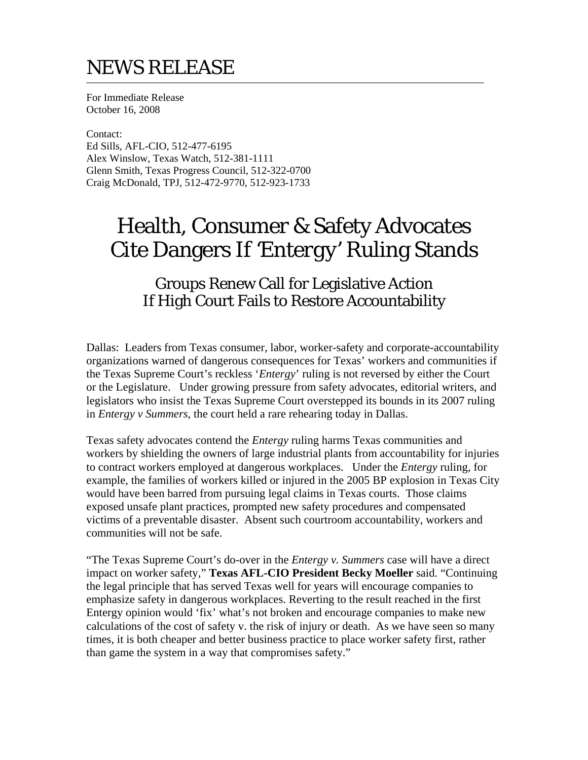## NEWS RELEASE

For Immediate Release October 16, 2008

Contact: Ed Sills, AFL-CIO, 512-477-6195 Alex Winslow, Texas Watch, 512-381-1111 Glenn Smith, Texas Progress Council, 512-322-0700 Craig McDonald, TPJ, 512-472-9770, 512-923-1733

## Health, Consumer & Safety Advocates Cite Dangers If *'Entergy'* Ruling Stands

## Groups Renew Call for Legislative Action If High Court Fails to Restore Accountability

Dallas: Leaders from Texas consumer, labor, worker-safety and corporate-accountability organizations warned of dangerous consequences for Texas' workers and communities if the Texas Supreme Court's reckless '*Entergy*' ruling is not reversed by either the Court or the Legislature. Under growing pressure from safety advocates, editorial writers, and legislators who insist the Texas Supreme Court overstepped its bounds in its 2007 ruling in *Entergy v Summers*, the court held a rare rehearing today in Dallas.

Texas safety advocates contend the *Entergy* ruling harms Texas communities and workers by shielding the owners of large industrial plants from accountability for injuries to contract workers employed at dangerous workplaces. Under the *Entergy* ruling, for example, the families of workers killed or injured in the 2005 BP explosion in Texas City would have been barred from pursuing legal claims in Texas courts. Those claims exposed unsafe plant practices, prompted new safety procedures and compensated victims of a preventable disaster. Absent such courtroom accountability, workers and communities will not be safe.

"The Texas Supreme Court's do-over in the *Entergy v. Summers* case will have a direct impact on worker safety," **Texas AFL-CIO President Becky Moeller** said. "Continuing the legal principle that has served Texas well for years will encourage companies to emphasize safety in dangerous workplaces. Reverting to the result reached in the first Entergy opinion would 'fix' what's not broken and encourage companies to make new calculations of the cost of safety v. the risk of injury or death. As we have seen so many times, it is both cheaper and better business practice to place worker safety first, rather than game the system in a way that compromises safety."